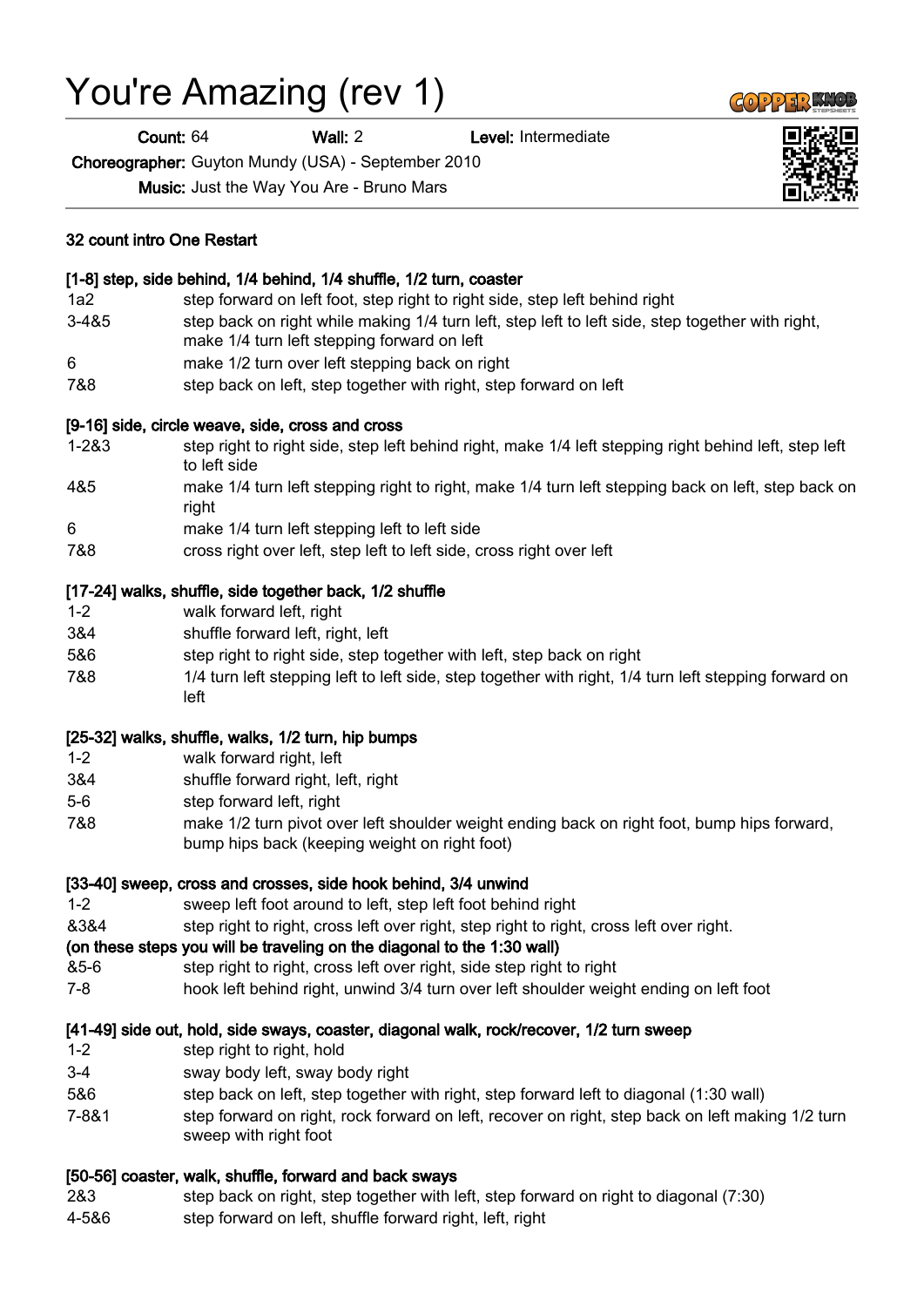# You're Amazing (rev 1)

32 count intro One Restart

Count: 64 Wall: 2 Level: Intermediate

Choreographer: Guyton Mundy (USA) - September 2010

Music: Just the Way You Are - Bruno Mars

[1-8] step, side behind, 1/4 behind, 1/4 shuffle, 1/2 turn, coaster

| $3 - 485$ | step back on right while making 1/4 turn left, step left to left side, step together with right,<br>make 1/4 turn left stepping forward on left |
|-----------|-------------------------------------------------------------------------------------------------------------------------------------------------|
| 6         | make 1/2 turn over left stepping back on right                                                                                                  |
| 7&8       | step back on left, step together with right, step forward on left                                                                               |
|           | [9-16] side, circle weave, side, cross and cross                                                                                                |
| $1 - 283$ | step right to right side, step left behind right, make 1/4 left stepping right behind left, step left<br>to left side                           |
| 4&5       | make 1/4 turn left stepping right to right, make 1/4 turn left stepping back on left, step back on<br>right                                     |
| 6         | make 1/4 turn left stepping left to left side                                                                                                   |
| 7&8       | cross right over left, step left to left side, cross right over left                                                                            |
|           | [17-24] walks, shuffle, side together back, 1/2 shuffle                                                                                         |
| $1 - 2$   | walk forward left, right                                                                                                                        |
| 3&4       | shuffle forward left, right, left                                                                                                               |
| 5&6       | step right to right side, step together with left, step back on right                                                                           |
| 7&8       | 1/4 turn left stepping left to left side, step together with right, 1/4 turn left stepping forward on<br>left                                   |
|           | [25-32] walks, shuffle, walks, 1/2 turn, hip bumps                                                                                              |
| $1 - 2$   | walk forward right, left                                                                                                                        |
| 3&4       | shuffle forward right, left, right                                                                                                              |
| $ -$      |                                                                                                                                                 |

- 5-6 step forward left, right
- 7&8 make 1/2 turn pivot over left shoulder weight ending back on right foot, bump hips forward, bump hips back (keeping weight on right foot)

#### [33-40] sweep, cross and crosses, side hook behind, 3/4 unwind

- 1-2 sweep left foot around to left, step left foot behind right
- &3&4 step right to right, cross left over right, step right to right, cross left over right.

#### (on these steps you will be traveling on the diagonal to the 1:30 wall)

- &5-6 step right to right, cross left over right, side step right to right
- 7-8 hook left behind right, unwind 3/4 turn over left shoulder weight ending on left foot

#### [41-49] side out, hold, side sways, coaster, diagonal walk, rock/recover, 1/2 turn sweep

- 1-2 step right to right, hold
- 3-4 sway body left, sway body right
- 5&6 step back on left, step together with right, step forward left to diagonal (1:30 wall)
- 7-8&1 step forward on right, rock forward on left, recover on right, step back on left making 1/2 turn sweep with right foot

#### [50-56] coaster, walk, shuffle, forward and back sways

- 2&3 step back on right, step together with left, step forward on right to diagonal (7:30)
- 4-5&6 step forward on left, shuffle forward right, left, right





1a2 step forward on left foot, step right to right side, step left behind right